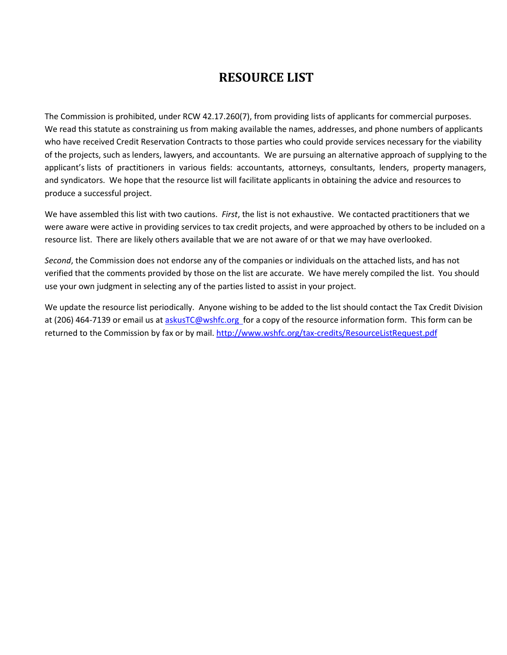# **RESOURCE LIST**

The Commission is prohibited, under RCW 42.17.260(7), from providing lists of applicants for commercial purposes. We read this statute as constraining us from making available the names, addresses, and phone numbers of applicants who have received Credit Reservation Contracts to those parties who could provide services necessary for the viability of the projects, such as lenders, lawyers, and accountants. We are pursuing an alternative approach of supplying to the applicant's lists of practitioners in various fields: accountants, attorneys, consultants, lenders, property managers, and syndicators. We hope that the resource list will facilitate applicants in obtaining the advice and resources to produce a successful project.

We have assembled this list with two cautions. *First*, the list is not exhaustive. We contacted practitioners that we were aware were active in providing services to tax credit projects, and were approached by others to be included on a resource list. There are likely others available that we are not aware of or that we may have overlooked.

*Second*, the Commission does not endorse any of the companies or individuals on the attached lists, and has not verified that the comments provided by those on the list are accurate. We have merely compiled the list. You should use your own judgment in selecting any of the parties listed to assist in your project.

We update the resource list periodically. Anyone wishing to be added to the list should contact the Tax Credit Division at (206) 464-7139 or email us a[t askusTC@wshfc.org f](mailto:askusTC@wshfc.org)or a copy of the resource information form. This form can be returned to the Commission by fax or by mail.<http://www.wshfc.org/tax-credits/ResourceListRequest.pdf>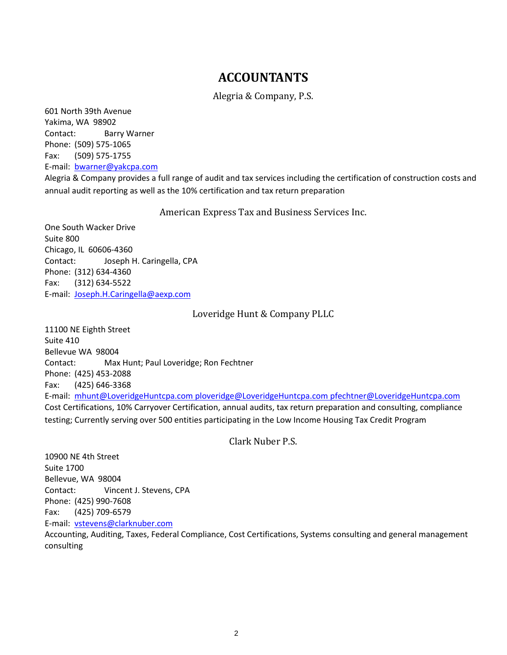# **ACCOUNTANTS**

Alegria & Company, P.S.

601 North 39th Avenue Yakima, WA 98902 Contact: Barry Warner Phone: (509) 575-1065 Fax: (509) 575-1755 E-mail: [bwarner@yakcpa.com](mailto:bwarner@yakcpa.com)

Alegria & Company provides a full range of audit and tax services including the certification of construction costs and annual audit reporting as well as the 10% certification and tax return preparation

American Express Tax and Business Services Inc.

One South Wacker Drive Suite 800 Chicago, IL 60606-4360 Contact: Joseph H. Caringella, CPA Phone: (312) 634-4360 Fax: (312) 634-5522 E-mail: [Joseph.H.Caringella@aexp.com](mailto:Joseph.H.Caringella@aexp.com)

# Loveridge Hunt & Company PLLC

11100 NE Eighth Street Suite 410 Bellevue WA 98004 Contact: Max Hunt; Paul Loveridge; Ron Fechtner Phone: (425) 453-2088 Fax: (425) 646-3368 E-mail: [mhunt@LoveridgeHuntcpa.com ploveridge@LoveridgeHuntcpa.com](mailto:mhunt@LoveridgeHuntcpa.com) [pfechtner@LoveridgeHuntcpa.com](mailto:pfechtner@LoveridgeHuntcpa.com) Cost Certifications, 10% Carryover Certification, annual audits, tax return preparation and consulting, compliance testing; Currently serving over 500 entities participating in the Low Income Housing Tax Credit Program

Clark Nuber P.S.

10900 NE 4th Street Suite 1700 Bellevue, WA 98004 Contact: Vincent J. Stevens, CPA Phone: (425) 990-7608 Fax: (425) 709-6579 E-mail: [vstevens@clarknuber.com](mailto:vstevens@clarknuber.com)

Accounting, Auditing, Taxes, Federal Compliance, Cost Certifications, Systems consulting and general management consulting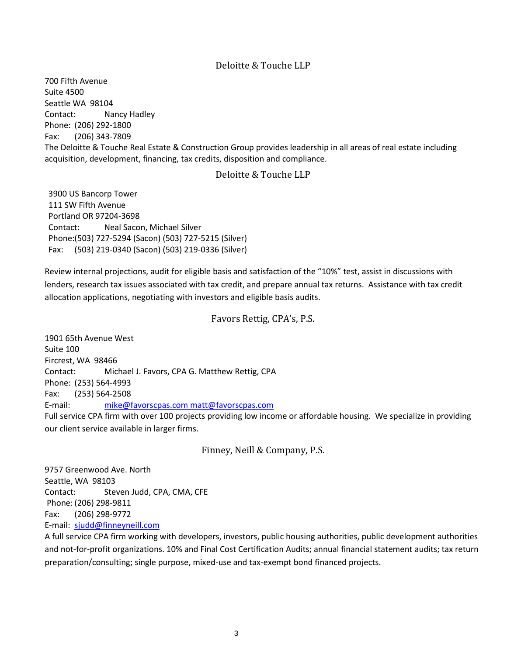# Deloitte & Touche LLP

700 Fifth Avenue Suite 4500 Seattle WA 98104 Contact: Nancy Hadley Phone: (206) 292-1800 Fax: (206) 343-7809 The Deloitte & Touche Real Estate & Construction Group provides leadership in all areas of real estate including acquisition, development, financing, tax credits, disposition and compliance.

# Deloitte & Touche LLP

3900 US Bancorp Tower 111 SW Fifth Avenue Portland OR 97204-3698 Contact: Neal Sacon, Michael Silver Phone:(503) 727-5294 (Sacon) (503) 727-5215 (Silver) Fax: (503) 219-0340 (Sacon) (503) 219-0336 (Silver)

Review internal projections, audit for eligible basis and satisfaction of the "10%" test, assist in discussions with lenders, research tax issues associated with tax credit, and prepare annual tax returns. Assistance with tax credit allocation applications, negotiating with investors and eligible basis audits.

# Favors Rettig, CPA's, P.S.

1901 65th Avenue West Suite 100 Fircrest, WA 98466 Contact: Michael J. Favors, CPA G. Matthew Rettig, CPA Phone: (253) 564-4993 Fax: (253) 564-2508 E-mail: [mike@favorscpas.com matt@favorscpas.com](mailto:mike@favorscpas.com) Full service CPA firm with over 100 projects providing low income or affordable housing. We specialize in providing our client service available in larger firms.

Finney, Neill & Company, P.S.

9757 Greenwood Ave. North Seattle, WA 98103 Contact: Steven Judd, CPA, CMA, CFE Phone: (206) 298-9811 Fax: (206) 298-9772 E-mail: [sjudd@finneyneill.com](mailto:sjudd@finneyneill.com)

A full service CPA firm working with developers, investors, public housing authorities, public development authorities and not-for-profit organizations. 10% and Final Cost Certification Audits; annual financial statement audits; tax return preparation/consulting; single purpose, mixed-use and tax-exempt bond financed projects.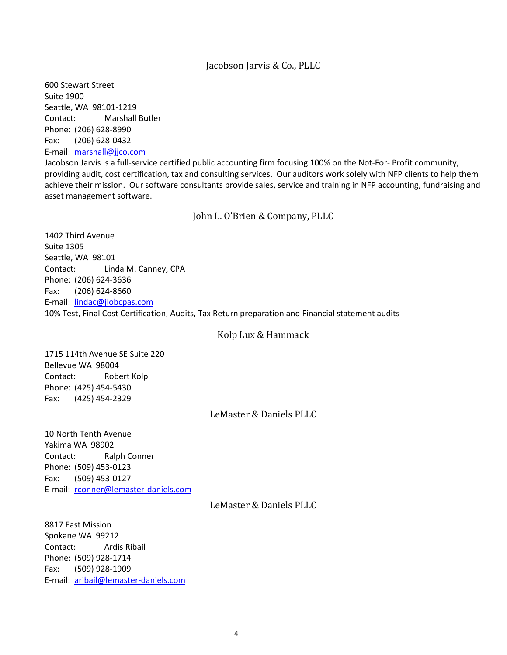#### Jacobson Jarvis & Co., PLLC

600 Stewart Street Suite 1900 Seattle, WA 98101-1219 Contact: Marshall Butler Phone: (206) 628-8990 Fax: (206) 628-0432 E-mail: [marshall@jjco.com](mailto:lindac@jlobcpas.com)

Jacobson Jarvis is a full-service certified public accounting firm focusing 100% on the Not-For- Profit community, providing audit, cost certification, tax and consulting services. Our auditors work solely with NFP clients to help them achieve their mission. Our software consultants provide sales, service and training in NFP accounting, fundraising and asset management software.

John L. O'Brien & Company, PLLC

1402 Third Avenue Suite 1305 Seattle, WA 98101 Contact: Linda M. Canney, CPA Phone: (206) 624-3636 Fax: (206) 624-8660 E-mail: [lindac@jlobcpas.com](mailto:lindac@jlobcpas.com) 10% Test, Final Cost Certification, Audits, Tax Return preparation and Financial statement audits

## Kolp Lux & Hammack

1715 114th Avenue SE Suite 220 Bellevue WA 98004 Contact: Robert Kolp Phone: (425) 454-5430 Fax: (425) 454-2329

## LeMaster & Daniels PLLC

10 North Tenth Avenue Yakima WA 98902 Contact: Ralph Conner Phone: (509) 453-0123 Fax: (509) 453-0127 E-mail: [rconner@lemaster-daniels.com](mailto:rconner@lemaster-daniels.com)

LeMaster & Daniels PLLC

8817 East Mission Spokane WA 99212 Contact: Ardis Ribail Phone: (509) 928-1714 Fax: (509) 928-1909 E-mail: [aribail@lemaster-daniels.com](mailto:aribail@lemaster-daniels.com)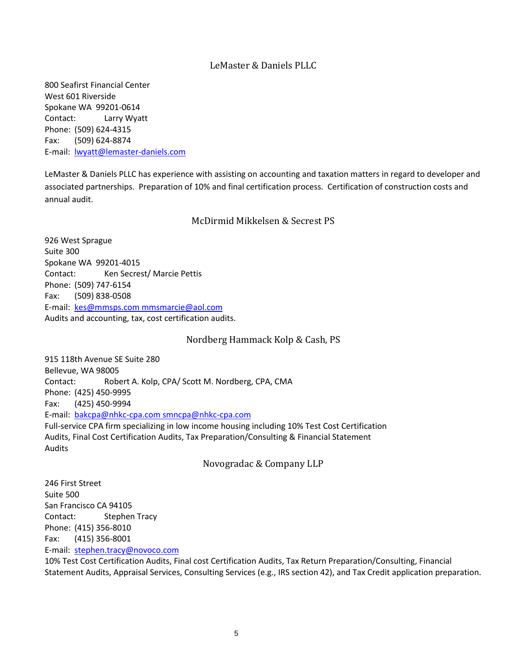# LeMaster & Daniels PLLC

800 Seafirst Financial Center West 601 Riverside Spokane WA 99201-0614 Contact: Larry Wyatt Phone: (509) 624-4315 Fax: (509) 624-8874 E-mail: [lwyatt@lemaster-daniels.com](mailto:lwyatt@lemaster-daniels.com)

LeMaster & Daniels PLLC has experience with assisting on accounting and taxation matters in regard to developer and associated partnerships. Preparation of 10% and final certification process. Certification of construction costs and annual audit.

# McDirmid Mikkelsen & Secrest PS

926 West Sprague Suite 300 Spokane WA 99201-4015 Contact: Ken Secrest/ Marcie Pettis Phone: (509) 747-6154 Fax: (509) 838-0508 E-mail: [kes@mmsps.com mmsmarcie@aol.com](mailto:kes@mmsps.com) Audits and accounting, tax, cost certification audits.

Nordberg Hammack Kolp & Cash, PS

915 118th Avenue SE Suite 280 Bellevue, WA 98005 Contact: Robert A. Kolp, CPA/ Scott M. Nordberg, CPA, CMA Phone: (425) 450-9995 Fax: (425) 450-9994 E-mail: [bakcpa@nhkc-cpa.com smncpa@nhkc-cpa.com](mailto:bakcpa@nhkc-cpa.com) Full-service CPA firm specializing in low income housing including 10% Test Cost Certification Audits, Final Cost Certification Audits, Tax Preparation/Consulting & Financial Statement Audits

Novogradac & Company LLP

246 First Street Suite 500 San Francisco CA 94105 Contact: Stephen Tracy Phone: (415) 356-8010 Fax: (415) 356-8001 E-mail: [stephen.tracy@novoco.com](mailto:stephen.tracy@novoco.com)

10% Test Cost Certification Audits, Final cost Certification Audits, Tax Return Preparation/Consulting, Financial Statement Audits, Appraisal Services, Consulting Services (e.g., IRS section 42), and Tax Credit application preparation.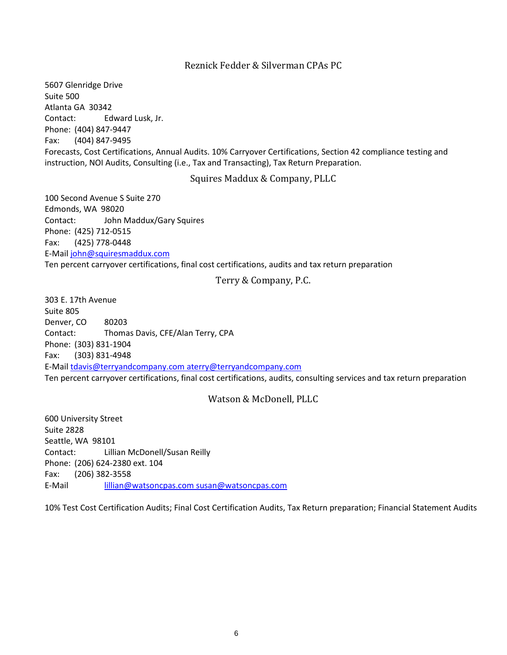## Reznick Fedder & Silverman CPAs PC

5607 Glenridge Drive Suite 500 Atlanta GA 30342 Contact: Edward Lusk, Jr. Phone: (404) 847-9447 Fax: (404) 847-9495 Forecasts, Cost Certifications, Annual Audits. 10% Carryover Certifications, Section 42 compliance testing and instruction, NOI Audits, Consulting (i.e., Tax and Transacting), Tax Return Preparation.

Squires Maddux & Company, PLLC

100 Second Avenue S Suite 270 Edmonds, WA 98020 Contact: John Maddux/Gary Squires Phone: (425) 712-0515 Fax: (425) 778-0448 E-Mail [john@squiresmaddux.com](mailto:Karen@watsoncpas.com) Ten percent carryover certifications, final cost certifications, audits and tax return preparation

Terry & Company, P.C.

303 E. 17th Avenue Suite 805 Denver, CO 80203 Contact: Thomas Davis, CFE/Alan Terry, CPA Phone: (303) 831-1904 Fax: (303) 831-4948 E-Mail [tdavis@terryandcompany.com aterry@terryandcompany.com](mailto:tdavis@terryandcompany.com) Ten percent carryover certifications, final cost certifications, audits, consulting services and tax return preparation

# Watson & McDonell, PLLC

600 University Street Suite 2828 Seattle, WA 98101 Contact: Lillian McDonell/Susan Reilly Phone: (206) 624-2380 ext. 104 Fax: (206) 382-3558 E-Mail [lillian@watsoncpas.com susan@watsoncpas.com](mailto:lillian@watsoncpas.com)

10% Test Cost Certification Audits; Final Cost Certification Audits, Tax Return preparation; Financial Statement Audits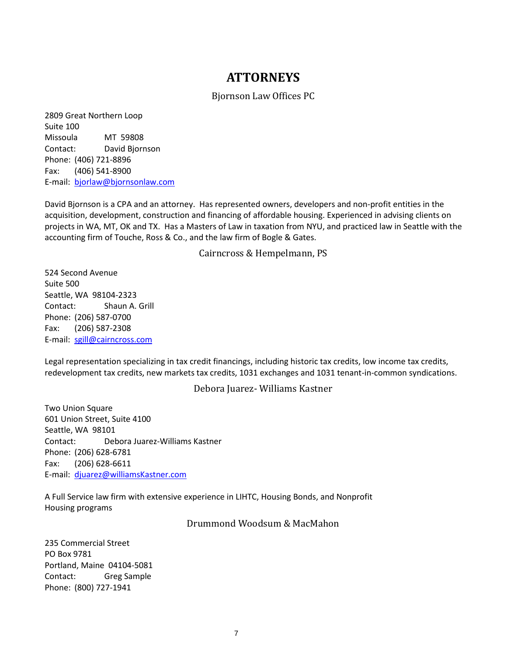# **ATTORNEYS**

# Bjornson Law Offices PC

2809 Great Northern Loop Suite 100 Missoula MT 59808 Contact: David Bjornson Phone: (406) 721-8896 Fax: (406) 541-8900 E-mail: [bjorlaw@bjornsonlaw.com](mailto:bjorlaw@bjornsonlaw.com)

David Bjornson is a CPA and an attorney. Has represented owners, developers and non-profit entities in the acquisition, development, construction and financing of affordable housing. Experienced in advising clients on projects in WA, MT, OK and TX. Has a Masters of Law in taxation from NYU, and practiced law in Seattle with the accounting firm of Touche, Ross & Co., and the law firm of Bogle & Gates.

Cairncross & Hempelmann, PS

524 Second Avenue Suite 500 Seattle, WA 98104-2323 Contact: Shaun A. Grill Phone: (206) 587-0700 Fax: (206) 587-2308 E-mail: [sgill@cairncross.com](mailto:sgill@cairncross.com)

Legal representation specializing in tax credit financings, including historic tax credits, low income tax credits, redevelopment tax credits, new markets tax credits, 1031 exchanges and 1031 tenant-in-common syndications.

## Debora Juarez- Williams Kastner

Two Union Square 601 Union Street, Suite 4100 Seattle, WA 98101 Contact: Debora Juarez-Williams Kastner Phone: (206) 628-6781 Fax: (206) 628-6611 E-mail: [djuarez@williamsKastner.com](mailto:djuarez@williamsKastner.com)

A Full Service law firm with extensive experience in LIHTC, Housing Bonds, and Nonprofit Housing programs

Drummond Woodsum & MacMahon

235 Commercial Street PO Box 9781 Portland, Maine 04104-5081 Contact: Greg Sample Phone: (800) 727-1941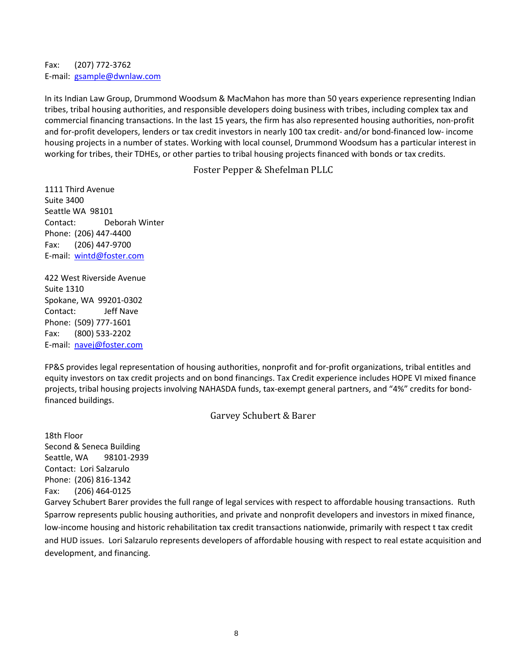Fax: (207) 772-3762 E-mail: [gsample@dwnlaw.com](mailto:gsample@dwnlaw.com)

In its Indian Law Group, Drummond Woodsum & MacMahon has more than 50 years experience representing Indian tribes, tribal housing authorities, and responsible developers doing business with tribes, including complex tax and commercial financing transactions. In the last 15 years, the firm has also represented housing authorities, non-profit and for-profit developers, lenders or tax credit investors in nearly 100 tax credit- and/or bond-financed low- income housing projects in a number of states. Working with local counsel, Drummond Woodsum has a particular interest in working for tribes, their TDHEs, or other parties to tribal housing projects financed with bonds or tax credits.

Foster Pepper & Shefelman PLLC

1111 Third Avenue Suite 3400 Seattle WA 98101 Contact: Deborah Winter Phone: (206) 447-4400 Fax: (206) 447-9700 E-mail: [wintd@foster.com](mailto:wintd@foster.com)

422 West Riverside Avenue Suite 1310 Spokane, WA 99201-0302 Contact: Jeff Nave Phone: (509) 777-1601 Fax: (800) 533-2202 E-mail: [navej@foster.com](mailto:navej@foster.com)

FP&S provides legal representation of housing authorities, nonprofit and for-profit organizations, tribal entitles and equity investors on tax credit projects and on bond financings. Tax Credit experience includes HOPE VI mixed finance projects, tribal housing projects involving NAHASDA funds, tax-exempt general partners, and "4%" credits for bondfinanced buildings.

Garvey Schubert & Barer

18th Floor Second & Seneca Building Seattle, WA 98101-2939 Contact: Lori Salzarulo Phone: (206) 816-1342 Fax: (206) 464-0125

Garvey Schubert Barer provides the full range of legal services with respect to affordable housing transactions. Ruth Sparrow represents public housing authorities, and private and nonprofit developers and investors in mixed finance, low-income housing and historic rehabilitation tax credit transactions nationwide, primarily with respect t tax credit and HUD issues. Lori Salzarulo represents developers of affordable housing with respect to real estate acquisition and development, and financing.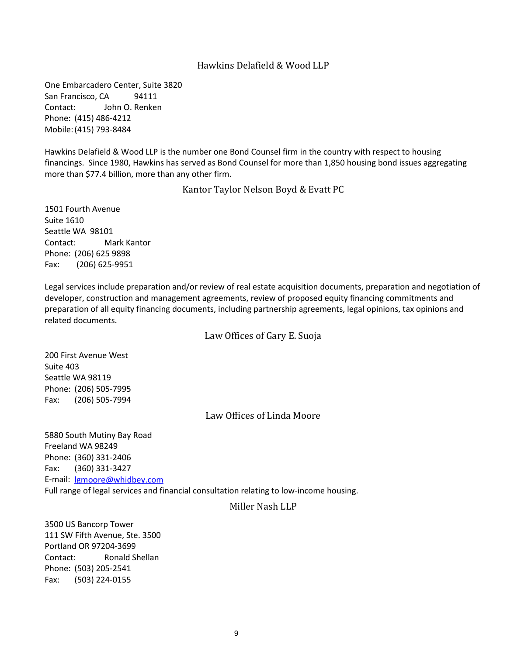## Hawkins Delafield & Wood LLP

One Embarcadero Center, Suite 3820 San Francisco, CA 94111 Contact: John O. Renken Phone: (415) 486-4212 Mobile:(415) 793-8484

Hawkins Delafield & Wood LLP is the number one Bond Counsel firm in the country with respect to housing financings. Since 1980, Hawkins has served as Bond Counsel for more than 1,850 housing bond issues aggregating more than \$77.4 billion, more than any other firm.

Kantor Taylor Nelson Boyd & Evatt PC

1501 Fourth Avenue Suite 1610 Seattle WA 98101 Contact: Mark Kantor Phone: (206) 625 9898 Fax: (206) 625-9951

Legal services include preparation and/or review of real estate acquisition documents, preparation and negotiation of developer, construction and management agreements, review of proposed equity financing commitments and preparation of all equity financing documents, including partnership agreements, legal opinions, tax opinions and related documents.

Law Offices of Gary E. Suoja

200 First Avenue West Suite 403 Seattle WA 98119 Phone: (206) 505-7995 Fax: (206) 505-7994

Law Offices of Linda Moore

5880 South Mutiny Bay Road Freeland WA 98249 Phone: (360) 331-2406 Fax: (360) 331-3427 E-mail: [lgmoore@whidbey.com](mailto:lgmoore@whidbey.com) Full range of legal services and financial consultation relating to low-income housing.

# Miller Nash LLP

3500 US Bancorp Tower 111 SW Fifth Avenue, Ste. 3500 Portland OR 97204-3699 Contact: Ronald Shellan Phone: (503) 205-2541 Fax: (503) 224-0155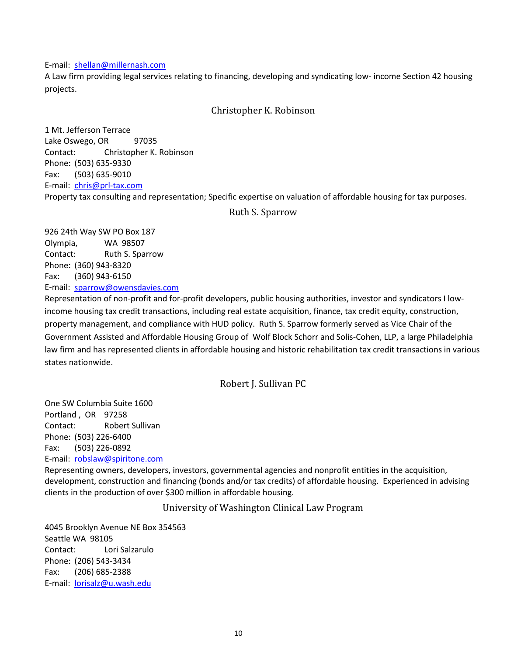#### E-mail: [shellan@millernash.com](mailto:shellan@millernash.com)

A Law firm providing legal services relating to financing, developing and syndicating low- income Section 42 housing projects.

# Christopher K. Robinson

1 Mt. Jefferson Terrace Lake Oswego, OR 97035 Contact: Christopher K. Robinson Phone: (503) 635-9330 Fax: (503) 635-9010 E-mail: [chris@prl-tax.com](mailto:chris@prl-tax.com) Property tax consulting and representation; Specific expertise on valuation of affordable housing for tax purposes.

## Ruth S. Sparrow

926 24th Way SW PO Box 187 Olympia, WA 98507 Contact: Ruth S. Sparrow Phone: (360) 943-8320 Fax: (360) 943-6150 E-mail: [sparrow@owensdavies.com](mailto:shellan@millernash.com)

Representation of non-profit and for-profit developers, public housing authorities, investor and syndicators I lowincome housing tax credit transactions, including real estate acquisition, finance, tax credit equity, construction, property management, and compliance with HUD policy. Ruth S. Sparrow formerly served as Vice Chair of the Government Assisted and Affordable Housing Group of Wolf Block Schorr and Solis-Cohen, LLP, a large Philadelphia law firm and has represented clients in affordable housing and historic rehabilitation tax credit transactions in various states nationwide.

Robert J. Sullivan PC

One SW Columbia Suite 1600 Portland , OR 97258 Contact: Robert Sullivan Phone: (503) 226-6400 Fax: (503) 226-0892 E-mail: [robslaw@spiritone.com](mailto:robslaw@spiritone.com)

Representing owners, developers, investors, governmental agencies and nonprofit entities in the acquisition, development, construction and financing (bonds and/or tax credits) of affordable housing. Experienced in advising clients in the production of over \$300 million in affordable housing.

University of Washington Clinical Law Program

4045 Brooklyn Avenue NE Box 354563 Seattle WA 98105 Contact: Lori Salzarulo Phone: (206) 543-3434 Fax: (206) 685-2388 E-mail: [lorisalz@u.wash.edu](mailto:lorisalz@u.wash.edu)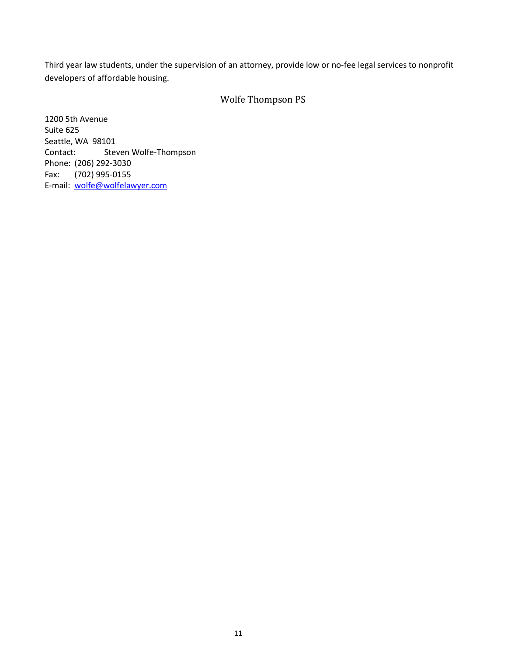Third year law students, under the supervision of an attorney, provide low or no-fee legal services to nonprofit developers of affordable housing.

# Wolfe Thompson PS

1200 5th Avenue Suite 625 Seattle, WA 98101 Contact: Steven Wolfe-Thompson Phone: (206) 292-3030 Fax: (702) 995-0155 E-mail: [wolfe@wolfelawyer.com](mailto:wolfe@wolfelawyer.com)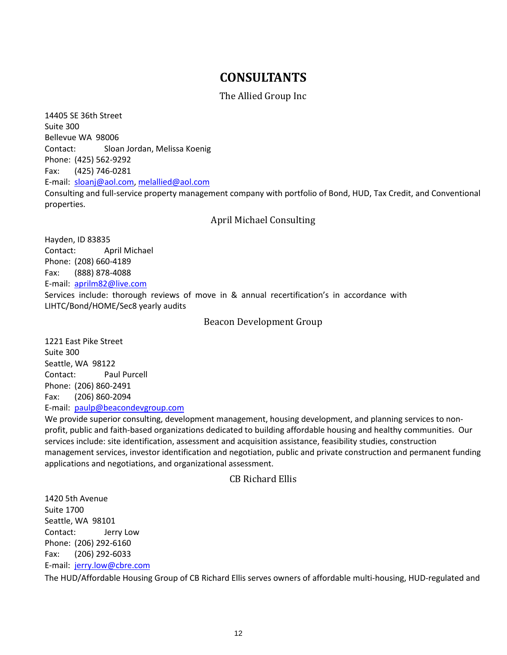# **CONSULTANTS**

# The Allied Group Inc

14405 SE 36th Street Suite 300 Bellevue WA 98006 Contact: Sloan Jordan, Melissa Koenig Phone: (425) 562-9292 Fax: (425) 746-0281 E-mail: [sloanj@aol.com,](mailto:sloanj@aol.com) [melallied@aol.com](mailto:melallied@aol.com) Consulting and full-service property management company with portfolio of Bond, HUD, Tax Credit, and Conventional properties.

# April Michael Consulting

Hayden, ID 83835 Contact: April Michael Phone: (208) 660-4189 Fax: (888) 878-4088 E-mail: [aprilm82@live.com](mailto:aprilm82@live.com) Services include: thorough reviews of move in & annual recertification's in accordance with LIHTC/Bond/HOME/Sec8 yearly audits

## Beacon Development Group

1221 East Pike Street Suite 300 Seattle, WA 98122 Contact: Paul Purcell Phone: (206) 860-2491 Fax: (206) 860-2094 E-mail: [paulp@beacondevgroup.com](mailto:paulp@beacondevgroup.com)

We provide superior consulting, development management, housing development, and planning services to nonprofit, public and faith-based organizations dedicated to building affordable housing and healthy communities. Our services include: site identification, assessment and acquisition assistance, feasibility studies, construction management services, investor identification and negotiation, public and private construction and permanent funding applications and negotiations, and organizational assessment.

## CB Richard Ellis

1420 5th Avenue Suite 1700 Seattle, WA 98101 Contact: Jerry Low Phone: (206) 292-6160 Fax: (206) 292-6033 E-mail: [jerry.low@cbre.com](mailto:jerry.low@cbre.com)

The HUD/Affordable Housing Group of CB Richard Ellis serves owners of affordable multi-housing, HUD-regulated and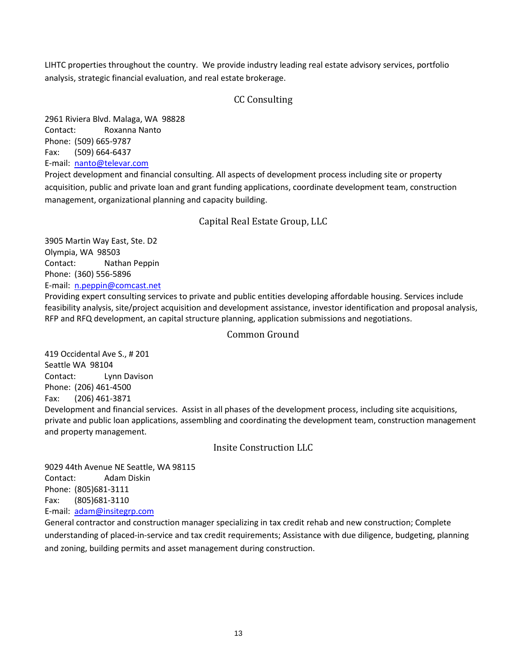LIHTC properties throughout the country. We provide industry leading real estate advisory services, portfolio analysis, strategic financial evaluation, and real estate brokerage.

# CC Consulting

2961 Riviera Blvd. Malaga, WA 98828 Contact: Roxanna Nanto Phone: (509) 665-9787 Fax: (509) 664-6437 E-mail: [nanto@televar.com](mailto:nanto@televar.com)

Project development and financial consulting. All aspects of development process including site or property acquisition, public and private loan and grant funding applications, coordinate development team, construction management, organizational planning and capacity building.

# Capital Real Estate Group, LLC

3905 Martin Way East, Ste. D2 Olympia, WA 98503 Contact: Nathan Peppin Phone: (360) 556-5896 E-mail: [n.peppin@comcast.net](mailto:n.peppin@comcast.net)

Providing expert consulting services to private and public entities developing affordable housing. Services include feasibility analysis, site/project acquisition and development assistance, investor identification and proposal analysis, RFP and RFQ development, an capital structure planning, application submissions and negotiations.

# Common Ground

419 Occidental Ave S., # 201 Seattle WA 98104 Contact: Lynn Davison Phone: (206) 461-4500 Fax: (206) 461-3871 Development and financial services. Assist in all phases of the development process, including site acquisitions, private and public loan applications, assembling and coordinating the development team, construction management and property management.

Insite Construction LLC

9029 44th Avenue NE Seattle, WA 98115 Contact: Adam Diskin Phone: (805)681-3111 Fax: (805)681-3110 E-mail: [adam@insitegrp.com](mailto:adam@insitegrp.com)

General contractor and construction manager specializing in tax credit rehab and new construction; Complete understanding of placed-in-service and tax credit requirements; Assistance with due diligence, budgeting, planning and zoning, building permits and asset management during construction.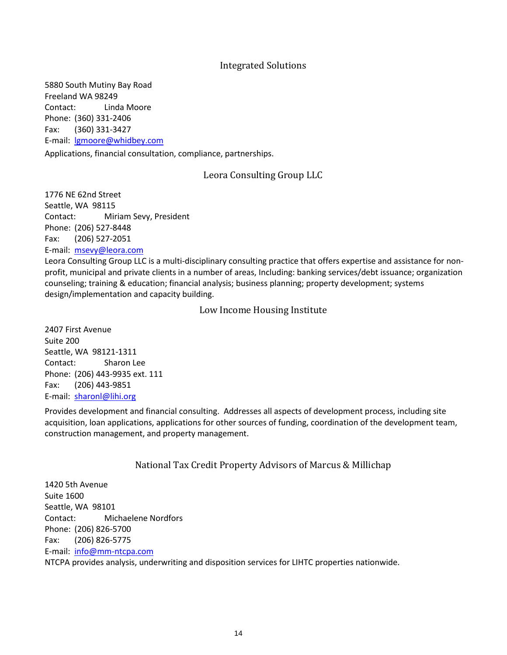# Integrated Solutions

5880 South Mutiny Bay Road Freeland WA 98249 Contact: Linda Moore Phone: (360) 331-2406 Fax: (360) 331-3427 E-mail: [lgmoore@whidbey.com](mailto:lgmoore@whidbey.com)

Applications, financial consultation, compliance, partnerships.

## Leora Consulting Group LLC

1776 NE 62nd Street Seattle, WA 98115 Contact: Miriam Sevy, President Phone: (206) 527-8448 Fax: (206) 527-2051 E-mail: [msevy@leora.com](mailto:willasoc@pacificrim.net)

Leora Consulting Group LLC is a multi-disciplinary consulting practice that offers expertise and assistance for nonprofit, municipal and private clients in a number of areas, Including: banking services/debt issuance; organization counseling; training & education; financial analysis; business planning; property development; systems design/implementation and capacity building.

#### Low Income Housing Institute

2407 First Avenue Suite 200 Seattle, WA 98121-1311 Contact: Sharon Lee Phone: (206) 443-9935 ext. 111 Fax: (206) 443-9851 E-mail: [sharonl@lihi.org](mailto:sharonl@lihi.org)

Provides development and financial consulting. Addresses all aspects of development process, including site acquisition, loan applications, applications for other sources of funding, coordination of the development team, construction management, and property management.

## National Tax Credit Property Advisors of Marcus & Millichap

1420 5th Avenue Suite 1600 Seattle, WA 98101 Contact: Michaelene Nordfors Phone: (206) 826-5700 Fax: (206) 826-5775 E-mail: [info@mm-ntcpa.com](mailto:info@mm-ntcpa.com) NTCPA provides analysis, underwriting and disposition services for LIHTC properties nationwide.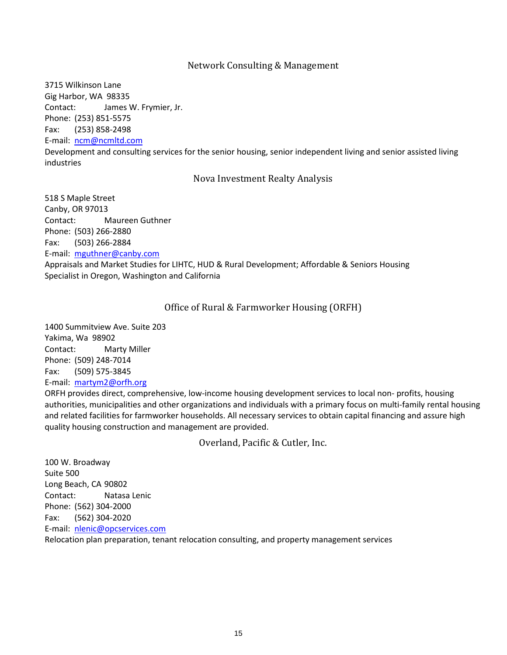# Network Consulting & Management

3715 Wilkinson Lane Gig Harbor, WA 98335 Contact: James W. Frymier, Jr. Phone: (253) 851-5575 Fax: (253) 858-2498

E-mail: [ncm@ncmltd.com](mailto:ncm@ncmltd.com)

Development and consulting services for the senior housing, senior independent living and senior assisted living industries

## Nova Investment Realty Analysis

518 S Maple Street Canby, OR 97013 Contact: Maureen Guthner Phone: (503) 266-2880 Fax: (503) 266-2884 E-mail: [mguthner@canby.com](mailto:mguthner@canby.com) Appraisals and Market Studies for LIHTC, HUD & Rural Development; Affordable & Seniors Housing Specialist in Oregon, Washington and California

## Office of Rural & Farmworker Housing (ORFH)

1400 Summitview Ave. Suite 203 Yakima, Wa 98902 Contact: Marty Miller Phone: (509) 248-7014 Fax: (509) 575-3845 E-mail: [martym2@orfh.org](mailto:thirdeye@wolfenet.com)

ORFH provides direct, comprehensive, low-income housing development services to local non- profits, housing authorities, municipalities and other organizations and individuals with a primary focus on multi-family rental housing and related facilities for farmworker households. All necessary services to obtain capital financing and assure high quality housing construction and management are provided.

Overland, Pacific & Cutler, Inc.

100 W. Broadway Suite 500 Long Beach, CA 90802 Contact: Natasa Lenic Phone: (562) 304-2000 Fax: (562) 304-2020 E-mail: [nlenic@opcservices.com](mailto:nlenic@opcservices.com)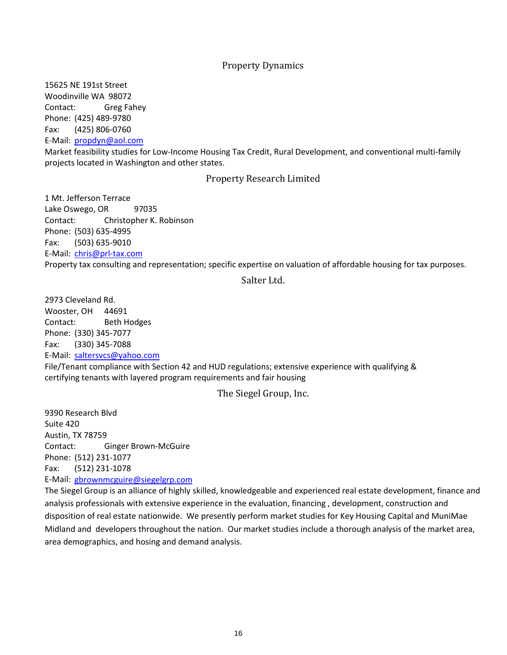## Property Dynamics

15625 NE 191st Street Woodinville WA 98072 Contact: Greg Fahey Phone: (425) 489-9780 Fax: (425) 806-0760 E-Mail: [propdyn@aol.com](mailto:propdyn@aol.com)

Market feasibility studies for Low-Income Housing Tax Credit, Rural Development, and conventional multi-family projects located in Washington and other states.

#### Property Research Limited

1 Mt. Jefferson Terrace Lake Oswego, OR 97035 Contact: Christopher K. Robinson Phone: (503) 635-4995 Fax: (503) 635-9010 E-Mail: [chris@prl-tax.com](mailto:chris@prl-tax.com) Property tax consulting and representation; specific expertise on valuation of affordable housing for tax purposes.

## Salter Ltd.

2973 Cleveland Rd. Wooster, OH 44691 Contact: Beth Hodges Phone: (330) 345-7077 Fax: (330) 345-7088 E-Mail: [saltersvcs@yahoo.com](mailto:saltersvcs@yahoo.com)

File/Tenant compliance with Section 42 and HUD regulations; extensive experience with qualifying & certifying tenants with layered program requirements and fair housing

The Siegel Group, Inc.

9390 Research Blvd Suite 420 Austin, TX 78759 Contact: Ginger Brown-McGuire Phone: (512) 231-1077 Fax: (512) 231-1078 E-Mail: [gbrownmcguire@siegelgrp.com](mailto:gbrownmcguire@siegelgrp.com)

The Siegel Group is an alliance of highly skilled, knowledgeable and experienced real estate development, finance and analysis professionals with extensive experience in the evaluation, financing , development, construction and disposition of real estate nationwide. We presently perform market studies for Key Housing Capital and MuniMae Midland and developers throughout the nation. Our market studies include a thorough analysis of the market area, area demographics, and hosing and demand analysis.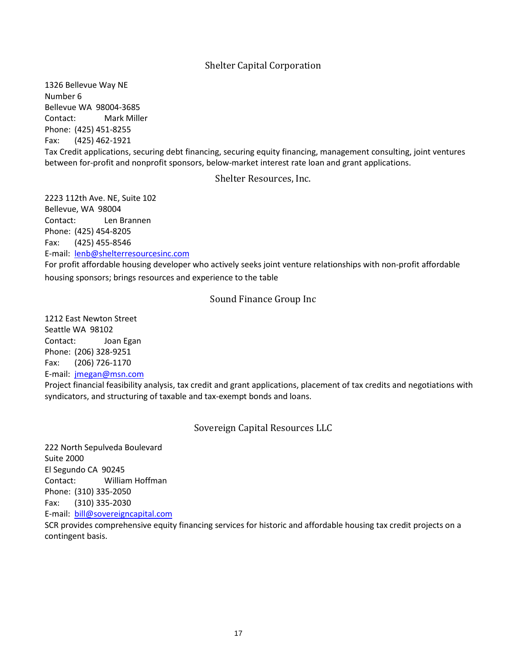# Shelter Capital Corporation

1326 Bellevue Way NE Number 6 Bellevue WA 98004-3685 Contact: Mark Miller Phone: (425) 451-8255 Fax: (425) 462-1921 Tax Credit applications, securing debt financing, securing equity financing, management consulting, joint ventures between for-profit and nonprofit sponsors, below-market interest rate loan and grant applications.

## Shelter Resources, Inc.

2223 112th Ave. NE, Suite 102 Bellevue, WA 98004 Contact: Len Brannen Phone: (425) 454-8205 Fax: (425) 455-8546 E-mail: [lenb@shelterresourcesinc.com](mailto:lenb@shelterresourcesinc.com)

For profit affordable housing developer who actively seeks joint venture relationships with non-profit affordable housing sponsors; brings resources and experience to the table

## Sound Finance Group Inc

1212 East Newton Street Seattle WA 98102 Contact: Joan Egan Phone: (206) 328-9251 Fax: (206) 726-1170 E-mail: [jmegan@msn.com](mailto:jmegan@msn.com)

contingent basis.

Project financial feasibility analysis, tax credit and grant applications, placement of tax credits and negotiations with syndicators, and structuring of taxable and tax-exempt bonds and loans.

Sovereign Capital Resources LLC

222 North Sepulveda Boulevard Suite 2000 El Segundo CA 90245 Contact: William Hoffman Phone: (310) 335-2050 Fax: (310) 335-2030 E-mail: [bill@sovereigncapital.com](mailto:bill@sovereigncapital.com) SCR provides comprehensive equity financing services for historic and affordable housing tax credit projects on a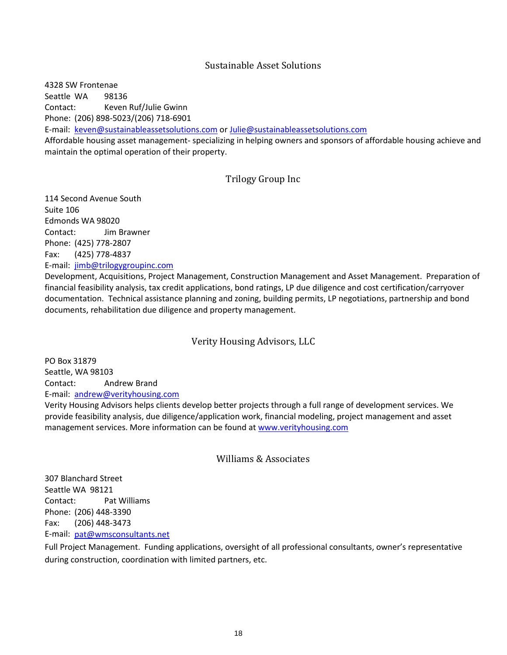# Sustainable Asset Solutions

4328 SW Frontenae Seattle WA 98136 Contact: Keven Ruf/Julie Gwinn Phone: (206) 898-5023/(206) 718-6901 E-mail: [keven@sustainableassetsolutions.com](mailto:keven@sustainableassetsolutions.com) o[r Julie@sustainableassetsolutions.com](mailto:Julie@sustainableassetsolutions.com) Affordable housing asset management- specializing in helping owners and sponsors of affordable housing achieve and

maintain the optimal operation of their property.

# Trilogy Group Inc

114 Second Avenue South Suite 106 Edmonds WA 98020 Contact: Jim Brawner Phone: (425) 778-2807 Fax: (425) 778-4837 E-mail: [jimb@trilogygroupinc.com](mailto:jimb@trilogygroupinc.com)

Development, Acquisitions, Project Management, Construction Management and Asset Management. Preparation of financial feasibility analysis, tax credit applications, bond ratings, LP due diligence and cost certification/carryover documentation. Technical assistance planning and zoning, building permits, LP negotiations, partnership and bond documents, rehabilitation due diligence and property management.

# Verity Housing Advisors, LLC

PO Box 31879 Seattle, WA 98103 Contact: Andrew Brand E-mail: [andrew@verityhousing.com](mailto:andrew@verityhousing.com)

Verity Housing Advisors helps clients develop better projects through a full range of development services. We provide feasibility analysis, due diligence/application work, financial modeling, project management and asset management services. More information can be found a[t www.verityhousing.com](http://www.verityhousing.com/)

## Williams & Associates

307 Blanchard Street Seattle WA 98121 Contact: Pat Williams Phone: (206) 448-3390 Fax: (206) 448-3473 E-mail: [pat@wmsconsultants.net](mailto:pat@wmsconsultants.net)

Full Project Management. Funding applications, oversight of all professional consultants, owner's representative during construction, coordination with limited partners, etc.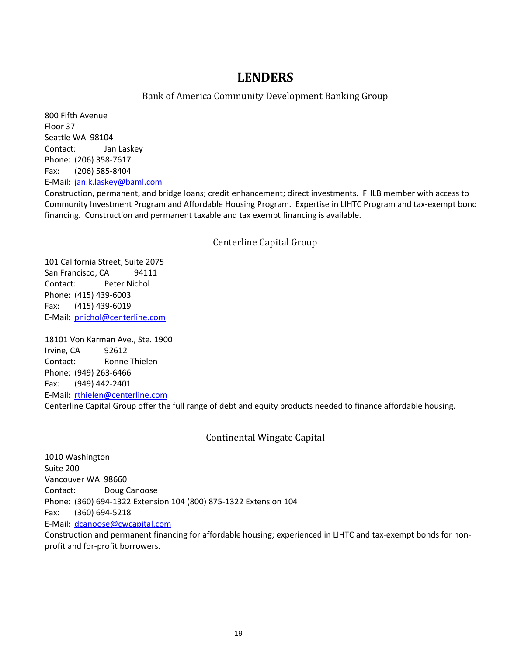# **LENDERS**

# Bank of America Community Development Banking Group

800 Fifth Avenue Floor 37 Seattle WA 98104 Contact: Jan Laskey Phone: (206) 358-7617 Fax: (206) 585-8404 E-Mail: [jan.k.laskey@baml.com](mailto:jan.k.laskey@baml.com)

Construction, permanent, and bridge loans; credit enhancement; direct investments. FHLB member with access to Community Investment Program and Affordable Housing Program. Expertise in LIHTC Program and tax-exempt bond financing. Construction and permanent taxable and tax exempt financing is available.

# Centerline Capital Group

101 California Street, Suite 2075 San Francisco, CA 94111 Contact: Peter Nichol Phone: (415) 439-6003 Fax: (415) 439-6019 E-Mail: [pnichol@centerline.com](mailto:pnichol@centerline.com)

18101 Von Karman Ave., Ste. 1900 Irvine, CA 92612 Contact: Ronne Thielen Phone: (949) 263-6466 Fax: (949) 442-2401 E-Mail: [rthielen@centerline.com](mailto:rthielen@centerline.com) Centerline Capital Group offer the full range of debt and equity products needed to finance affordable housing.

# Continental Wingate Capital

1010 Washington Suite 200 Vancouver WA 98660 Contact: Doug Canoose Phone: (360) 694-1322 Extension 104 (800) 875-1322 Extension 104 Fax: (360) 694-5218 E-Mail: [dcanoose@cwcapital.com](mailto:dcanoose@cwcapital.com)

Construction and permanent financing for affordable housing; experienced in LIHTC and tax-exempt bonds for nonprofit and for-profit borrowers.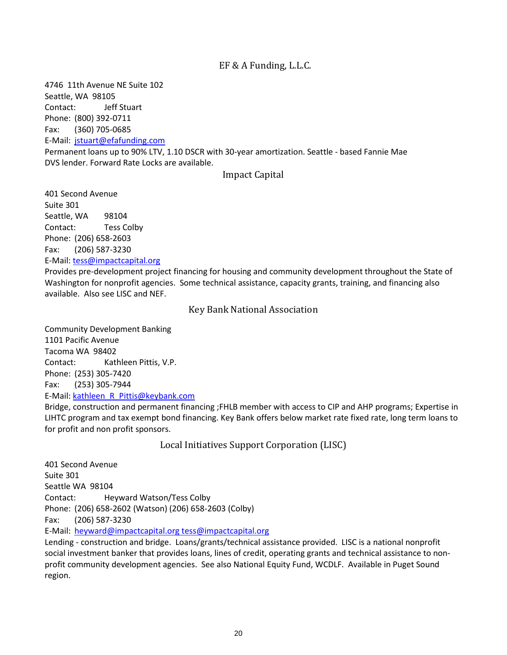# EF & A Funding, L.L.C.

4746 11th Avenue NE Suite 102 Seattle, WA 98105 Contact: Jeff Stuart Phone: (800) 392-0711 Fax: (360) 705-0685 E-Mail: [jstuart@efafunding.com](mailto:dcanoose@cwcapital.com) Permanent loans up to 90% LTV, 1.10 DSCR with 30-year amortization. Seattle - based Fannie Mae DVS lender. Forward Rate Locks are available.

## Impact Capital

401 Second Avenue Suite 301 Seattle, WA 98104 Contact: Tess Colby Phone: (206) 658-2603 Fax: (206) 587-3230 E-Mail: [tess@impactcapital.org](mailto:kathleen_R_Pittis@keybank.com)

Provides pre-development project financing for housing and community development throughout the State of Washington for nonprofit agencies. Some technical assistance, capacity grants, training, and financing also available. Also see LISC and NEF.

## Key Bank National Association

Community Development Banking 1101 Pacific Avenue Tacoma WA 98402 Contact: Kathleen Pittis, V.P. Phone: (253) 305-7420 Fax: (253) 305-7944 E-Mail: [kathleen\\_R\\_Pittis@keybank.com](mailto:kathleen_R_Pittis@keybank.com)

Bridge, construction and permanent financing ;FHLB member with access to CIP and AHP programs; Expertise in LIHTC program and tax exempt bond financing. Key Bank offers below market rate fixed rate, long term loans to for profit and non profit sponsors.

Local Initiatives Support Corporation (LISC)

401 Second Avenue Suite 301 Seattle WA 98104 Contact: Heyward Watson/Tess Colby Phone: (206) 658-2602 (Watson) (206) 658-2603 (Colby) Fax: (206) 587-3230 E-Mail: [heyward@impactcapital.org tess@impactcapital.org](mailto:heyward@impactcapital.org)

Lending - construction and bridge. Loans/grants/technical assistance provided. LISC is a national nonprofit social investment banker that provides loans, lines of credit, operating grants and technical assistance to nonprofit community development agencies. See also National Equity Fund, WCDLF. Available in Puget Sound region.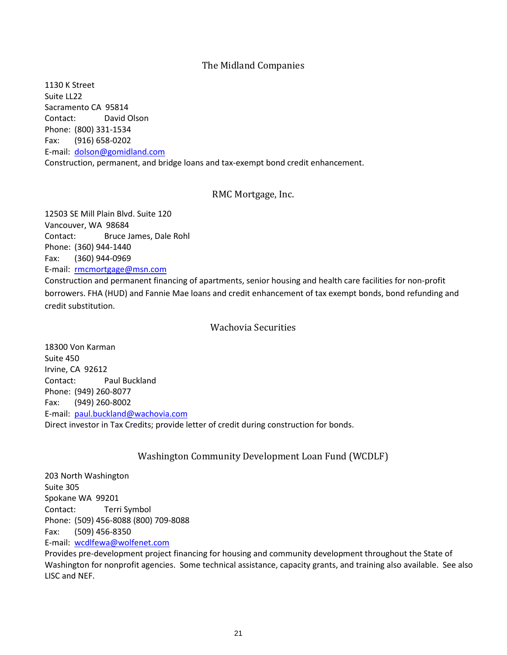# The Midland Companies

1130 K Street Suite LL22 Sacramento CA 95814 Contact: David Olson Phone: (800) 331-1534 Fax: (916) 658-0202 E-mail: [dolson@gomidland.com](mailto:dolson@gomidland.com) Construction, permanent, and bridge loans and tax-exempt bond credit enhancement.

## RMC Mortgage, Inc.

12503 SE Mill Plain Blvd. Suite 120 Vancouver, WA 98684 Contact: Bruce James, Dale Rohl Phone: (360) 944-1440 Fax: (360) 944-0969 E-mail: [rmcmortgage@msn.com](mailto:rmcmortgage@msn.com)

Construction and permanent financing of apartments, senior housing and health care facilities for non-profit borrowers. FHA (HUD) and Fannie Mae loans and credit enhancement of tax exempt bonds, bond refunding and credit substitution.

## Wachovia Securities

18300 Von Karman Suite 450 Irvine, CA 92612 Contact: Paul Buckland Phone: (949) 260-8077 Fax: (949) 260-8002 E-mail: [paul.buckland@wachovia.com](mailto:paul.buckland@wachovia.com) Direct investor in Tax Credits; provide letter of credit during construction for bonds.

# Washington Community Development Loan Fund (WCDLF)

203 North Washington Suite 305 Spokane WA 99201 Contact: Terri Symbol Phone: (509) 456-8088 (800) 709-8088 Fax: (509) 456-8350 E-mail: [wcdlfewa@wolfenet.com](mailto:wcdlfewa@wolfenet.com)

Provides pre-development project financing for housing and community development throughout the State of Washington for nonprofit agencies. Some technical assistance, capacity grants, and training also available. See also LISC and NEF.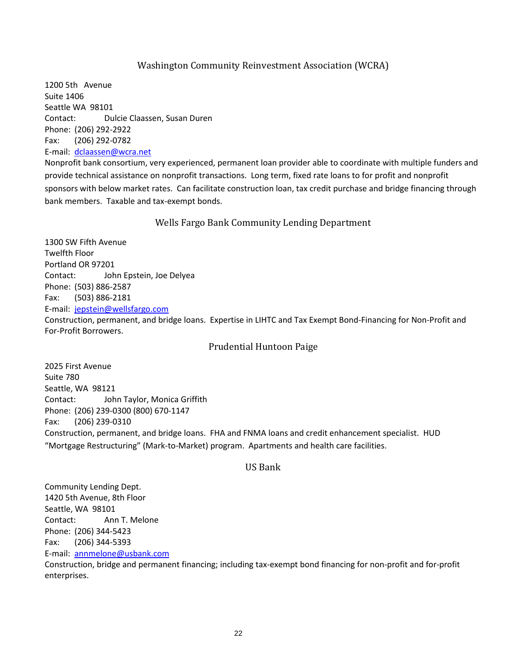# Washington Community Reinvestment Association (WCRA)

1200 5th Avenue Suite 1406 Seattle WA 98101 Contact: Dulcie Claassen, Susan Duren Phone: (206) 292-2922 Fax: (206) 292-0782 E-mail: [dclaassen@wcra.net](mailto:dclaassen@wcra.net)

Nonprofit bank consortium, very experienced, permanent loan provider able to coordinate with multiple funders and provide technical assistance on nonprofit transactions. Long term, fixed rate loans to for profit and nonprofit sponsors with below market rates. Can facilitate construction loan, tax credit purchase and bridge financing through bank members. Taxable and tax-exempt bonds.

Wells Fargo Bank Community Lending Department

1300 SW Fifth Avenue Twelfth Floor Portland OR 97201 Contact: John Epstein, Joe Delyea Phone: (503) 886-2587 Fax: (503) 886-2181 E-mail: [jepstein@wellsfargo.com](mailto:jepstein@wellsfargo.com) Construction, permanent, and bridge loans. Expertise in LIHTC and Tax Exempt Bond-Financing for Non-Profit and For-Profit Borrowers.

## Prudential Huntoon Paige

2025 First Avenue Suite 780 Seattle, WA 98121 Contact: John Taylor, Monica Griffith Phone: (206) 239-0300 (800) 670-1147 Fax: (206) 239-0310 Construction, permanent, and bridge loans. FHA and FNMA loans and credit enhancement specialist. HUD "Mortgage Restructuring" (Mark-to-Market) program. Apartments and health care facilities.

#### US Bank

Community Lending Dept. 1420 5th Avenue, 8th Floor Seattle, WA 98101 Contact: Ann T. Melone Phone: (206) 344-5423 Fax: (206) 344-5393 E-mail: [annmelone@usbank.com](mailto:annmelone@usbank.com)

Construction, bridge and permanent financing; including tax-exempt bond financing for non-profit and for-profit enterprises.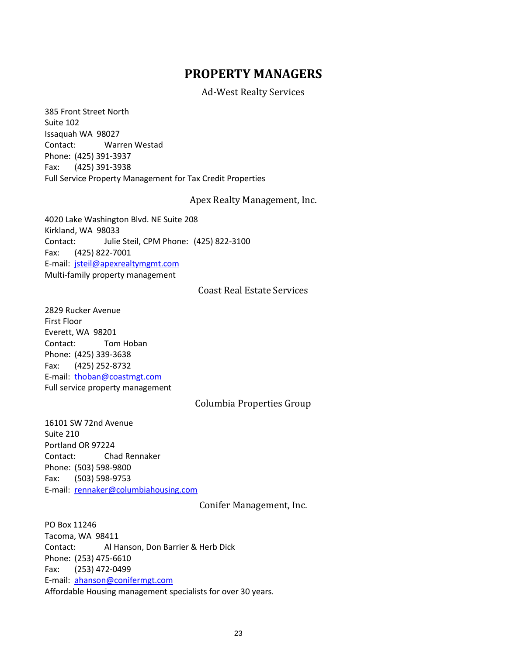# **PROPERTY MANAGERS**

Ad-West Realty Services

385 Front Street North Suite 102 Issaquah WA 98027 Contact: Warren Westad Phone: (425) 391-3937 Fax: (425) 391-3938 Full Service Property Management for Tax Credit Properties

#### Apex Realty Management, Inc.

4020 Lake Washington Blvd. NE Suite 208 Kirkland, WA 98033 Contact: Julie Steil, CPM Phone: (425) 822-3100 Fax: (425) 822-7001 E-mail: [jsteil@apexrealtymgmt.com](mailto:jsteil@apexrealtymgmt.com) Multi-family property management

# Coast Real Estate Services

2829 Rucker Avenue First Floor Everett, WA 98201 Contact: Tom Hoban Phone: (425) 339-3638 Fax: (425) 252-8732 E-mail: [thoban@coastmgt.com](mailto:thoban@coastmgt.com) Full service property management

## Columbia Properties Group

16101 SW 72nd Avenue Suite 210 Portland OR 97224 Contact: Chad Rennaker Phone: (503) 598-9800 Fax: (503) 598-9753 E-mail: [rennaker@columbiahousing.com](mailto:rennaker@columbiahousing.com)

Conifer Management, Inc.

PO Box 11246 Tacoma, WA 98411 Contact: Al Hanson, Don Barrier & Herb Dick Phone: (253) 475-6610 Fax: (253) 472-0499 E-mail: [ahanson@conifermgt.com](mailto:ahanson@conifermgt.com) Affordable Housing management specialists for over 30 years.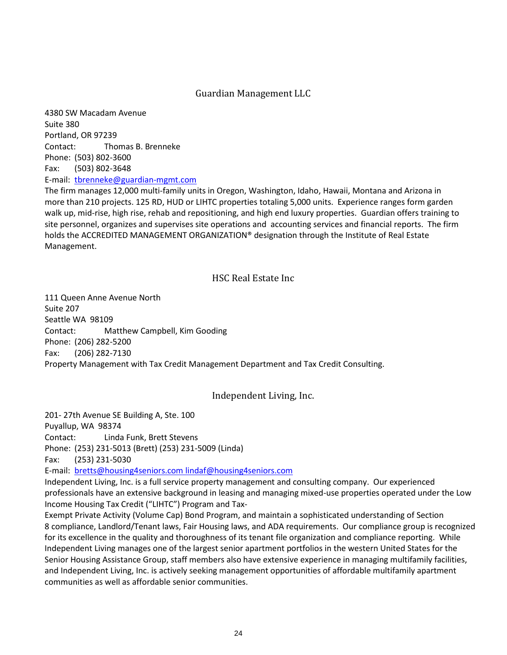# Guardian Management LLC

4380 SW Macadam Avenue Suite 380 Portland, OR 97239 Contact: Thomas B. Brenneke Phone: (503) 802-3600 Fax: (503) 802-3648 E-mail: [tbrenneke@guardian-mgmt.com](mailto:tbrenneke@guardian-mgmt.com)

The firm manages 12,000 multi-family units in Oregon, Washington, Idaho, Hawaii, Montana and Arizona in more than 210 projects. 125 RD, HUD or LIHTC properties totaling 5,000 units. Experience ranges form garden walk up, mid-rise, high rise, rehab and repositioning, and high end luxury properties. Guardian offers training to site personnel, organizes and supervises site operations and accounting services and financial reports. The firm holds the ACCREDITED MANAGEMENT ORGANIZATION® designation through the Institute of Real Estate Management.

# HSC Real Estate Inc

111 Queen Anne Avenue North Suite 207 Seattle WA 98109 Contact: Matthew Campbell, Kim Gooding Phone: (206) 282-5200 Fax: (206) 282-7130 Property Management with Tax Credit Management Department and Tax Credit Consulting.

Independent Living, Inc.

201- 27th Avenue SE Building A, Ste. 100

Puyallup, WA 98374

Contact: Linda Funk, Brett Stevens

Phone: (253) 231-5013 (Brett) (253) 231-5009 (Linda)

Fax: (253) 231-5030

E-mail: [bretts@housing4seniors.com lindaf@housing4seniors.com](mailto:bretts@housing4seniors.com)

Independent Living, Inc. is a full service property management and consulting company. Our experienced professionals have an extensive background in leasing and managing mixed-use properties operated under the Low Income Housing Tax Credit ("LIHTC") Program and Tax-

Exempt Private Activity (Volume Cap) Bond Program, and maintain a sophisticated understanding of Section 8 compliance, Landlord/Tenant laws, Fair Housing laws, and ADA requirements. Our compliance group is recognized for its excellence in the quality and thoroughness of its tenant file organization and compliance reporting. While Independent Living manages one of the largest senior apartment portfolios in the western United States for the Senior Housing Assistance Group, staff members also have extensive experience in managing multifamily facilities, and Independent Living, Inc. is actively seeking management opportunities of affordable multifamily apartment communities as well as affordable senior communities.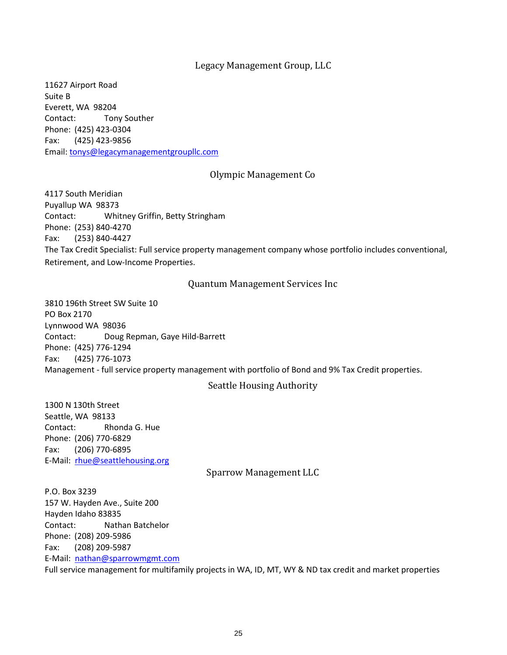# Legacy Management Group, LLC

11627 Airport Road Suite B Everett, WA 98204 Contact: Tony Souther Phone: (425) 423-0304 Fax: (425) 423-9856 Email: [tonys@legacymanagementgroupllc.com](mailto:tonys@legacymanagementgroupllc.com)

## Olympic Management Co

4117 South Meridian Puyallup WA 98373 Contact: Whitney Griffin, Betty Stringham Phone: (253) 840-4270 Fax: (253) 840-4427 The Tax Credit Specialist: Full service property management company whose portfolio includes conventional, Retirement, and Low-Income Properties.

# Quantum Management Services Inc

3810 196th Street SW Suite 10 PO Box 2170 Lynnwood WA 98036 Contact: Doug Repman, Gaye Hild-Barrett Phone: (425) 776-1294 Fax: (425) 776-1073 Management - full service property management with portfolio of Bond and 9% Tax Credit properties.

#### Seattle Housing Authority

1300 N 130th Street Seattle, WA 98133 Contact: Rhonda G. Hue Phone: (206) 770-6829 Fax: (206) 770-6895 E-Mail: [rhue@seattlehousing.org](mailto:rhue@seattlehousing.org)

Sparrow Management LLC

P.O. Box 3239 157 W. Hayden Ave., Suite 200 Hayden Idaho 83835 Contact: Nathan Batchelor Phone: (208) 209-5986 Fax: (208) 209-5987 E-Mail: [nathan@sparrowmgmt.com](mailto:nathan@sparrowmgmt.com) Full service management for multifamily projects in WA, ID, MT, WY & ND tax credit and market properties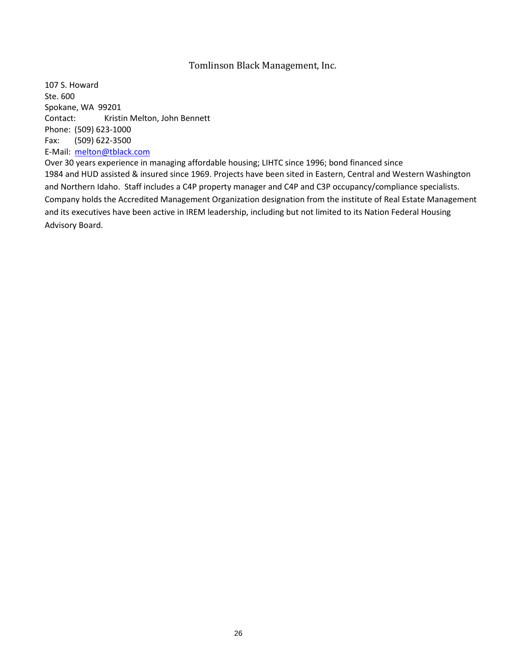# Tomlinson Black Management, Inc.

107 S. Howard Ste. 600 Spokane, WA 99201 Contact: Kristin Melton, John Bennett Phone: (509) 623-1000 Fax: (509) 622-3500 E-Mail: [melton@tblack.com](mailto:melton@tblack.com)

Over 30 years experience in managing affordable housing; LIHTC since 1996; bond financed since 1984 and HUD assisted & insured since 1969. Projects have been sited in Eastern, Central and Western Washington and Northern Idaho. Staff includes a C4P property manager and C4P and C3P occupancy/compliance specialists. Company holds the Accredited Management Organization designation from the institute of Real Estate Management and its executives have been active in IREM leadership, including but not limited to its Nation Federal Housing Advisory Board.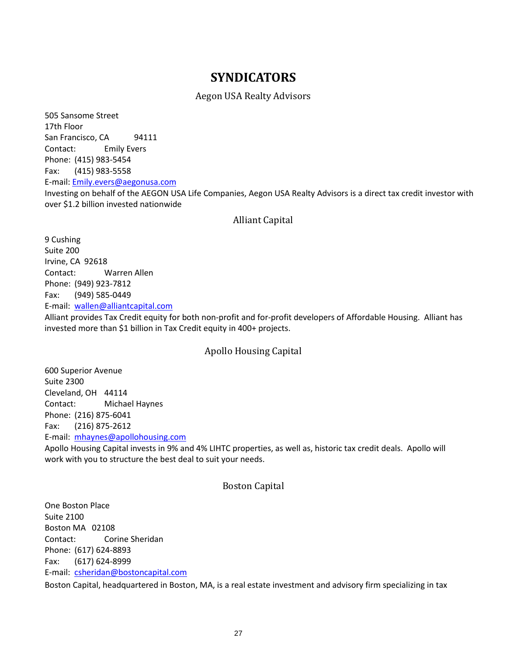# **SYNDICATORS**

## Aegon USA Realty Advisors

505 Sansome Street 17th Floor San Francisco, CA 94111 Contact: Emily Evers Phone: (415) 983-5454 Fax: (415) 983-5558 E-mail: [Emily.evers@aegonusa.com](mailto:Emily.evers@aegonusa.com) Investing on behalf of the AEGON USA Life Companies, Aegon USA Realty Advisors is a direct tax credit investor with over \$1.2 billion invested nationwide

## Alliant Capital

9 Cushing Suite 200 Irvine, CA 92618 Contact: Warren Allen Phone: (949) 923-7812 Fax: (949) 585-0449 E-mail: [wallen@alliantcapital.com](mailto:wallen@alliantcapital.com)

Alliant provides Tax Credit equity for both non-profit and for-profit developers of Affordable Housing. Alliant has invested more than \$1 billion in Tax Credit equity in 400+ projects.

# Apollo Housing Capital

600 Superior Avenue Suite 2300 Cleveland, OH 44114 Contact: Michael Haynes Phone: (216) 875-6041 Fax: (216) 875-2612 E-mail: [mhaynes@apollohousing.com](mailto:mhaynes@apollohousing.com)

Apollo Housing Capital invests in 9% and 4% LIHTC properties, as well as, historic tax credit deals. Apollo will work with you to structure the best deal to suit your needs.

## Boston Capital

One Boston Place Suite 2100 Boston MA 02108 Contact: Corine Sheridan Phone: (617) 624-8893 Fax: (617) 624-8999 E-mail: [csheridan@bostoncapital.com](mailto:mhaynes@apollohousing.com)

Boston Capital, headquartered in Boston, MA, is a real estate investment and advisory firm specializing in tax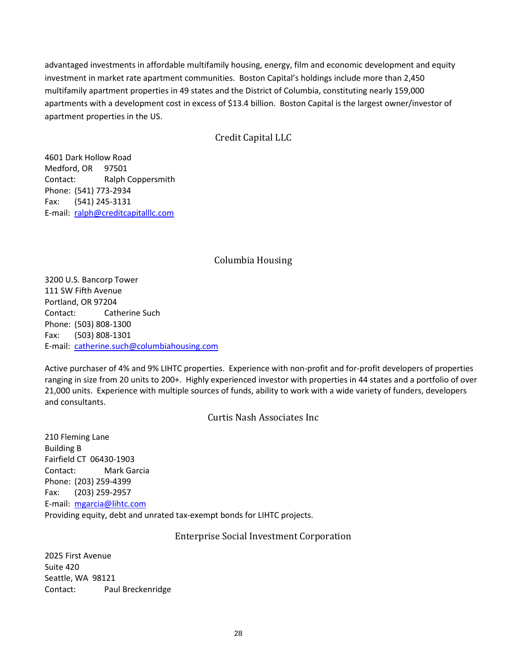advantaged investments in affordable multifamily housing, energy, film and economic development and equity investment in market rate apartment communities. Boston Capital's holdings include more than 2,450 multifamily apartment properties in 49 states and the District of Columbia, constituting nearly 159,000 apartments with a development cost in excess of \$13.4 billion. Boston Capital is the largest owner/investor of apartment properties in the US.

# Credit Capital LLC

4601 Dark Hollow Road Medford, OR 97501 Contact: Ralph Coppersmith Phone: (541) 773-2934 Fax: (541) 245-3131 E-mail: [ralph@creditcapitalllc.com](mailto:catherine.such@columbiahousing.com)

# Columbia Housing

3200 U.S. Bancorp Tower 111 SW Fifth Avenue Portland, OR 97204 Contact: Catherine Such Phone: (503) 808-1300 Fax: (503) 808-1301 E-mail: [catherine.such@columbiahousing.com](mailto:catherine.such@columbiahousing.com)

Active purchaser of 4% and 9% LIHTC properties. Experience with non-profit and for-profit developers of properties ranging in size from 20 units to 200+. Highly experienced investor with properties in 44 states and a portfolio of over 21,000 units. Experience with multiple sources of funds, ability to work with a wide variety of funders, developers and consultants.

Curtis Nash Associates Inc

210 Fleming Lane Building B Fairfield CT 06430-1903 Contact: Mark Garcia Phone: (203) 259-4399 Fax: (203) 259-2957 E-mail: [mgarcia@lihtc.com](mailto:mgarcia@lihtc.com) Providing equity, debt and unrated tax-exempt bonds for LIHTC projects.

# Enterprise Social Investment Corporation

2025 First Avenue Suite 420 Seattle, WA 98121 Contact: Paul Breckenridge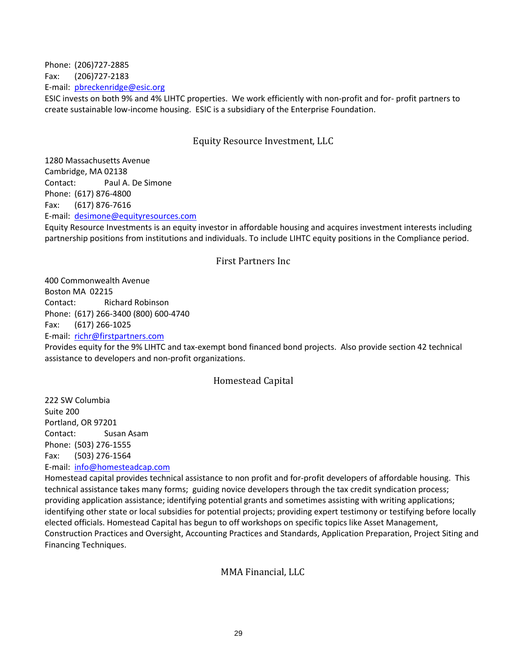Phone: (206)727-2885 Fax: (206)727-2183 E-mail: [pbreckenridge@esic.org](mailto:pbreckenridge@esic.org)

ESIC invests on both 9% and 4% LIHTC properties. We work efficiently with non-profit and for- profit partners to create sustainable low-income housing. ESIC is a subsidiary of the Enterprise Foundation.

## Equity Resource Investment, LLC

1280 Massachusetts Avenue Cambridge, MA 02138 Contact: Paul A. De Simone Phone: (617) 876-4800 Fax: (617) 876-7616 E-mail: [desimone@equityresources.com](mailto:desimone@equityresources.com)

Equity Resource Investments is an equity investor in affordable housing and acquires investment interests including partnership positions from institutions and individuals. To include LIHTC equity positions in the Compliance period.

#### First Partners Inc

400 Commonwealth Avenue Boston MA 02215 Contact: Richard Robinson Phone: (617) 266-3400 (800) 600-4740 Fax: (617) 266-1025 E-mail: [richr@firstpartners.com](mailto:richr@firstpartners.com) Provides equity for the 9% LIHTC and tax-exempt bond financed bond projects. Also provide section 42 technical assistance to developers and non-profit organizations.

## Homestead Capital

222 SW Columbia Suite 200 Portland, OR 97201 Contact: Susan Asam Phone: (503) 276-1555 Fax: (503) 276-1564 E-mail: [info@homesteadcap.com](mailto:info@homesteadcap.com)

Homestead capital provides technical assistance to non profit and for-profit developers of affordable housing. This technical assistance takes many forms; guiding novice developers through the tax credit syndication process; providing application assistance; identifying potential grants and sometimes assisting with writing applications; identifying other state or local subsidies for potential projects; providing expert testimony or testifying before locally elected officials. Homestead Capital has begun to off workshops on specific topics like Asset Management, Construction Practices and Oversight, Accounting Practices and Standards, Application Preparation, Project Siting and Financing Techniques.

## MMA Financial, LLC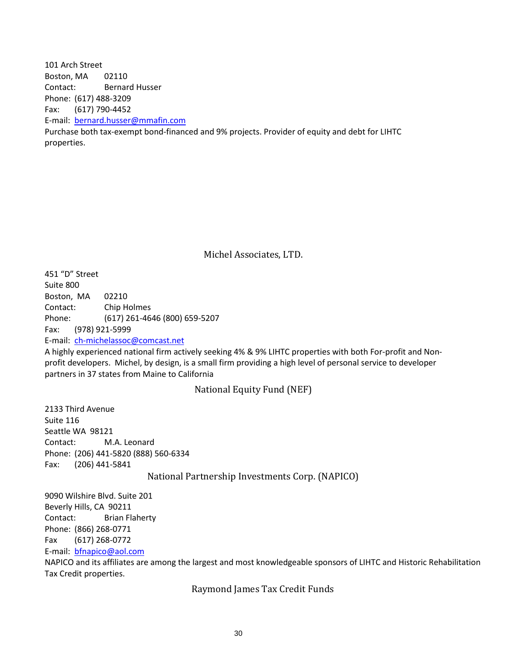101 Arch Street Boston, MA 02110 Contact: Bernard Husser Phone: (617) 488-3209 Fax: (617) 790-4452 E-mail: [bernard.husser@mmafin.com](mailto:bernard.husser@mmafin.com) Purchase both tax-exempt bond-financed and 9% projects. Provider of equity and debt for LIHTC properties.

Michel Associates, LTD.

451 "D" Street Suite 800 Boston, MA 02210 Contact: Chip Holmes Phone: (617) 261-4646 (800) 659-5207 Fax: (978) 921-5999 E-mail: [ch-michelassoc@comcast.net](mailto:gentryt@trgofct.com)

A highly experienced national firm actively seeking 4% & 9% LIHTC properties with both For-profit and Nonprofit developers. Michel, by design, is a small firm providing a high level of personal service to developer partners in 37 states from Maine to California

National Equity Fund (NEF)

2133 Third Avenue Suite 116 Seattle WA 98121 Contact: M.A. Leonard Phone: (206) 441-5820 (888) 560-6334 Fax: (206) 441-5841

National Partnership Investments Corp. (NAPICO)

9090 Wilshire Blvd. Suite 201 Beverly Hills, CA 90211 Contact: Brian Flaherty Phone: (866) 268-0771 Fax (617) 268-0772 E-mail: [bfnapico@aol.com](mailto:bfnapico@aol.com)

NAPICO and its affiliates are among the largest and most knowledgeable sponsors of LIHTC and Historic Rehabilitation Tax Credit properties.

Raymond James Tax Credit Funds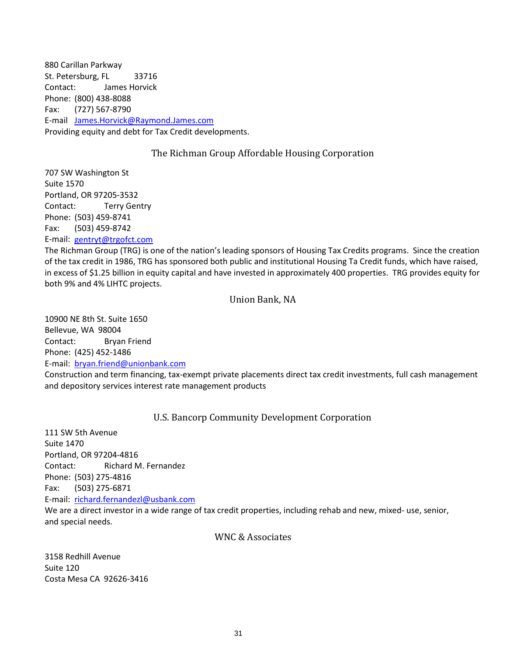880 Carillan Parkway St. Petersburg, FL 33716 Contact: James Horvick Phone: (800) 438-8088 Fax: (727) 567-8790 E-mail [James.Horvick@Raymond.James.com](mailto:James.Horvick@Raymond.James.com) Providing equity and debt for Tax Credit developments.

# The Richman Group Affordable Housing Corporation

707 SW Washington St Suite 1570 Portland, OR 97205-3532 Contact: Terry Gentry Phone: (503) 459-8741 Fax: (503) 459-8742 E-mail: [gentryt@trgofct.com](mailto:gentryt@trgofct.com)

The Richman Group (TRG) is one of the nation's leading sponsors of Housing Tax Credits programs. Since the creation of the tax credit in 1986, TRG has sponsored both public and institutional Housing Ta Credit funds, which have raised, in excess of \$1.25 billion in equity capital and have invested in approximately 400 properties. TRG provides equity for both 9% and 4% LIHTC projects.

## Union Bank, NA

10900 NE 8th St. Suite 1650 Bellevue, WA 98004 Contact: Bryan Friend Phone: (425) 452-1486 E-mail: [bryan.friend@unionbank.com](mailto:bryan.friend@unionbank.com)

Construction and term financing, tax-exempt private placements direct tax credit investments, full cash management and depository services interest rate management products

# U.S. Bancorp Community Development Corporation

111 SW 5th Avenue Suite 1470 Portland, OR 97204-4816 Contact: Richard M. Fernandez Phone: (503) 275-4816 Fax: (503) 275-6871 E-mail: [richard.fernandezl@usbank.com](mailto:richard.fernandezl@usbank.com) We are a direct investor in a wide range of tax credit properties, including rehab and new, mixed- use, senior, and special needs.

## WNC & Associates

3158 Redhill Avenue Suite 120 Costa Mesa CA 92626-3416